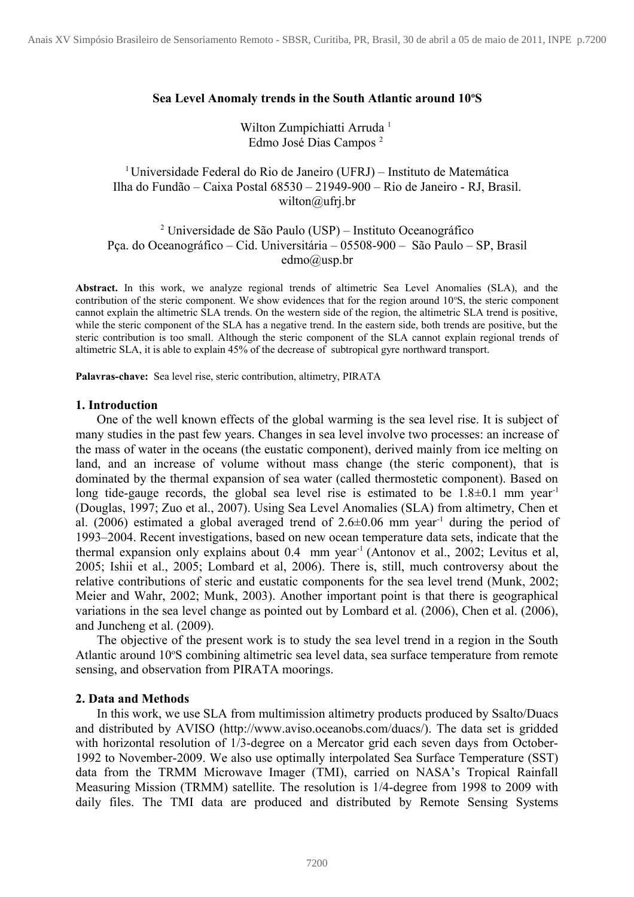## **Sea Level Anomaly trends in the South Atlantic around 10<sup>o</sup>S**

# Wilton Zumpichiatti Arruda<sup>1</sup> Edmo José Dias Campos <sup>2</sup>

<sup>1</sup>Universidade Federal do Rio de Janeiro (UFRJ) – Instituto de Matemática Ilha do Fundão – Caixa Postal 68530 – 21949-900 – Rio de Janeiro - RJ, Brasil. wilton@ufrj.br

# <sup>2</sup> Universidade de São Paulo (USP) – Instituto Oceanográfico Pça. do Oceanográfico – Cid. Universitária – 05508-900 – São Paulo – SP, Brasil edmo@usp.br

**Abstract.** In this work, we analyze regional trends of altimetric Sea Level Anomalies (SLA), and the contribution of the steric component. We show evidences that for the region around 10°S, the steric component cannot explain the altimetric SLA trends. On the western side of the region, the altimetric SLA trend is positive, while the steric component of the SLA has a negative trend. In the eastern side, both trends are positive, but the steric contribution is too small. Although the steric component of the SLA cannot explain regional trends of altimetric SLA, it is able to explain 45% of the decrease of subtropical gyre northward transport.

**Palavras-chave:** Sea level rise, steric contribution, altimetry, PIRATA

#### **1. Introduction**

One of the well known effects of the global warming is the sea level rise. It is subject of many studies in the past few years. Changes in sea level involve two processes: an increase of the mass of water in the oceans (the eustatic component), derived mainly from ice melting on land, and an increase of volume without mass change (the steric component), that is dominated by the thermal expansion of sea water (called thermostetic component). Based on long tide-gauge records, the global sea level rise is estimated to be  $1.8\pm0.1$  mm year<sup>-1</sup> (Douglas, 1997; Zuo et al., 2007). Using Sea Level Anomalies (SLA) from altimetry, Chen et al. (2006) estimated a global averaged trend of  $2.6\pm0.06$  mm year<sup>-1</sup> during the period of 1993–2004. Recent investigations, based on new ocean temperature data sets, indicate that the thermal expansion only explains about  $0.4$  mm year<sup>-1</sup> (Antonov et al., 2002; Levitus et al, 2005; Ishii et al., 2005; Lombard et al, 2006). There is, still, much controversy about the relative contributions of steric and eustatic components for the sea level trend (Munk, 2002; Meier and Wahr, 2002; Munk, 2003). Another important point is that there is geographical variations in the sea level change as pointed out by Lombard et al. (2006), Chen et al. (2006), and Juncheng et al. (2009).

The objective of the present work is to study the sea level trend in a region in the South Atlantic around 10°S combining altimetric sea level data, sea surface temperature from remote sensing, and observation from PIRATA moorings.

### **2. Data and Methods**

In this work, we use SLA from multimission altimetry products produced by Ssalto/Duacs and distributed by AVISO (http://www.aviso.oceanobs.com/duacs/). The data set is gridded with horizontal resolution of 1/3-degree on a Mercator grid each seven days from October-1992 to November-2009. We also use optimally interpolated Sea Surface Temperature (SST) data from the TRMM Microwave Imager (TMI), carried on NASA's Tropical Rainfall Measuring Mission (TRMM) satellite. The resolution is 1/4-degree from 1998 to 2009 with daily files. The TMI data are produced and distributed by Remote Sensing Systems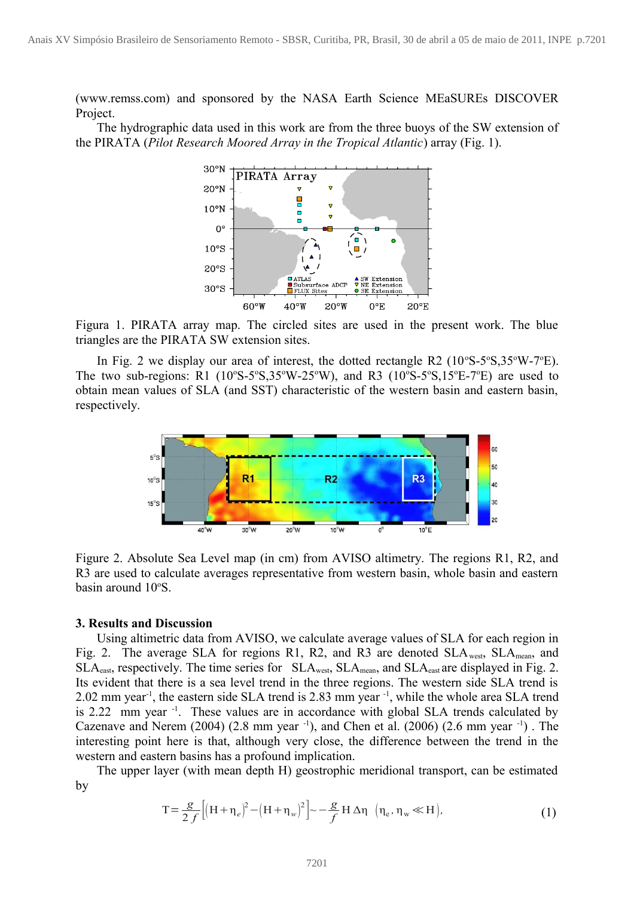(www.remss.com) and sponsored by the NASA Earth Science MEaSUREs DISCOVER Project.

The hydrographic data used in this work are from the three buoys of the SW extension of the PIRATA (*Pilot Research Moored Array in the Tropical Atlantic*) array (Fig. 1).



Figura 1. PIRATA array map. The circled sites are used in the present work. The blue triangles are the PIRATA SW extension sites.

In Fig. 2 we display our area of interest, the dotted rectangle R2  $(10^{\circ}S-5^{\circ}S,35^{\circ}W-7^{\circ}E)$ . The two sub-regions: R1  $(10^{\circ}S-5^{\circ}S,35^{\circ}W-25^{\circ}W)$ , and R3  $(10^{\circ}S-5^{\circ}S,15^{\circ}E-7^{\circ}E)$  are used to obtain mean values of SLA (and SST) characteristic of the western basin and eastern basin, respectively.



Figure 2. Absolute Sea Level map (in cm) from AVISO altimetry. The regions R1, R2, and R3 are used to calculate averages representative from western basin, whole basin and eastern basin around 10°S.

## **3. Results and Discussion**

Using altimetric data from AVISO, we calculate average values of SLA for each region in Fig. 2. The average SLA for regions R1, R2, and R3 are denoted  $SLA_{west}$ ,  $SLA_{mean}$ , and SLA<sub>east</sub>, respectively. The time series for SLA<sub>west</sub>, SLA<sub>mean</sub>, and SLA<sub>east</sub> are displayed in Fig. 2. Its evident that there is a sea level trend in the three regions. The western side SLA trend is 2.02 mm year-1, the eastern side SLA trend is 2.83 mm year -1, while the whole area SLA trend is 2.22 mm year  $^{-1}$ . These values are in accordance with global SLA trends calculated by Cazenave and Nerem (2004) (2.8 mm year  $^{-1}$ ), and Chen et al. (2006) (2.6 mm year  $^{-1}$ ). The interesting point here is that, although very close, the difference between the trend in the western and eastern basins has a profound implication.

The upper layer (with mean depth H) geostrophic meridional transport, can be estimated by

$$
T = \frac{g}{2f} \left[ \left( H + \eta_e \right)^2 - \left( H + \eta_w \right)^2 \right] \sim -\frac{g}{f} H \Delta \eta \quad \left( \eta_e, \eta_w \ll H \right), \tag{1}
$$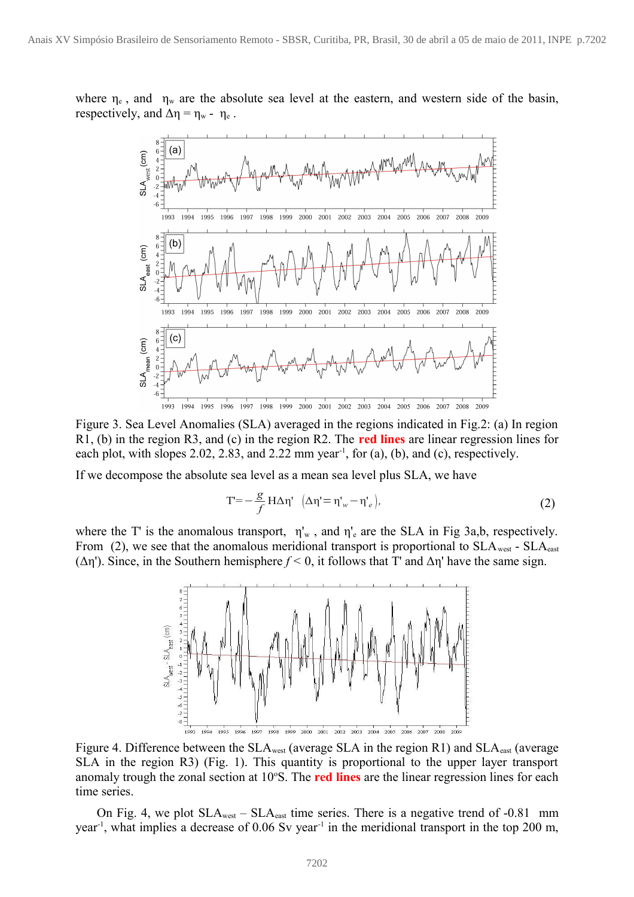where  $\eta_e$ , and  $\eta_w$  are the absolute sea level at the eastern, and western side of the basin, respectively, and  $\Delta \eta = \eta_w - \eta_e$ .



Figure 3. Sea Level Anomalies (SLA) averaged in the regions indicated in Fig.2: (a) In region R1, (b) in the region R3, and (c) in the region R2. The **red lines** are linear regression lines for each plot, with slopes 2.02, 2.83, and 2.22 mm year<sup>-1</sup>, for (a), (b), and (c), respectively.

If we decompose the absolute sea level as a mean sea level plus SLA, we have

$$
T = -\frac{g}{f} H \Delta \eta' \left( \Delta \eta' = \eta'_{w} - \eta'_{e} \right),
$$
 (2)

where the T' is the anomalous transport,  $\eta_w$ , and  $\eta_e$  are the SLA in Fig 3a,b, respectively. From (2), we see that the anomalous meridional transport is proportional to  $SLA_{west}$  -  $SLA_{cast}$ (Δη'). Since, in the Southern hemisphere *f <* 0, it follows that T' and Δη' have the same sign.



Figure 4. Difference between the  $SLA_{west}$  (average SLA in the region R1) and  $SLA_{east}$  (average SLA in the region R3) (Fig. 1). This quantity is proportional to the upper layer transport anomaly trough the zonal section at 10<sup>o</sup>S. The **red lines** are the linear regression lines for each time series.

On Fig. 4, we plot  $SLA_{west} - SLA_{east}$  time series. There is a negative trend of -0.81 mm year<sup>-1</sup>, what implies a decrease of 0.06 Sv year<sup>-1</sup> in the meridional transport in the top 200 m,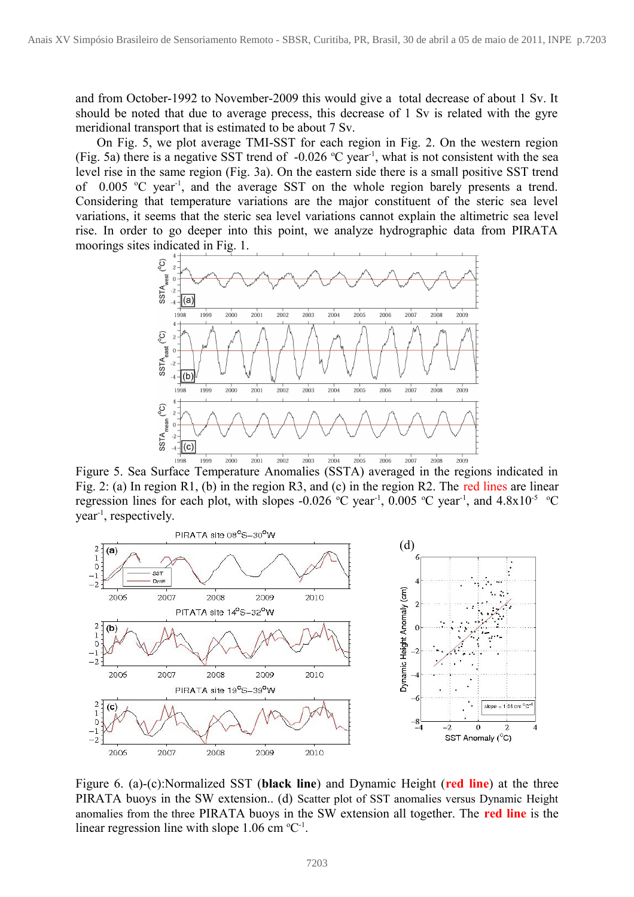and from October-1992 to November-2009 this would give a total decrease of about 1 Sv. It should be noted that due to average precess, this decrease of 1 Sv is related with the gyre meridional transport that is estimated to be about 7 Sv.

On Fig. 5, we plot average TMI-SST for each region in Fig. 2. On the western region (Fig. 5a) there is a negative SST trend of  $-0.026$  °C year<sup>-1</sup>, what is not consistent with the sea level rise in the same region (Fig. 3a). On the eastern side there is a small positive SST trend of  $0.005$  °C year<sup>-1</sup>, and the average SST on the whole region barely presents a trend. Considering that temperature variations are the major constituent of the steric sea level variations, it seems that the steric sea level variations cannot explain the altimetric sea level rise. In order to go deeper into this point, we analyze hydrographic data from PIRATA moorings sites indicated in Fig. 1.



Figure 5. Sea Surface Temperature Anomalies (SSTA) averaged in the regions indicated in Fig. 2: (a) In region R1, (b) in the region R3, and (c) in the region R2. The red lines are linear regression lines for each plot, with slopes -0.026 °C year<sup>-1</sup>, 0.005 °C year<sup>-1</sup>, and 4.8x10<sup>-5</sup> °C year-1, respectively.



Figure 6. (a)-(c):Normalized SST (**black line**) and Dynamic Height (**red line**) at the three PIRATA buoys in the SW extension.. (d) Scatter plot of SST anomalies versus Dynamic Height anomalies from the three PIRATA buoys in the SW extension all together. The **red line** is the linear regression line with slope  $1.06$  cm  $^{\circ}C^{-1}$ .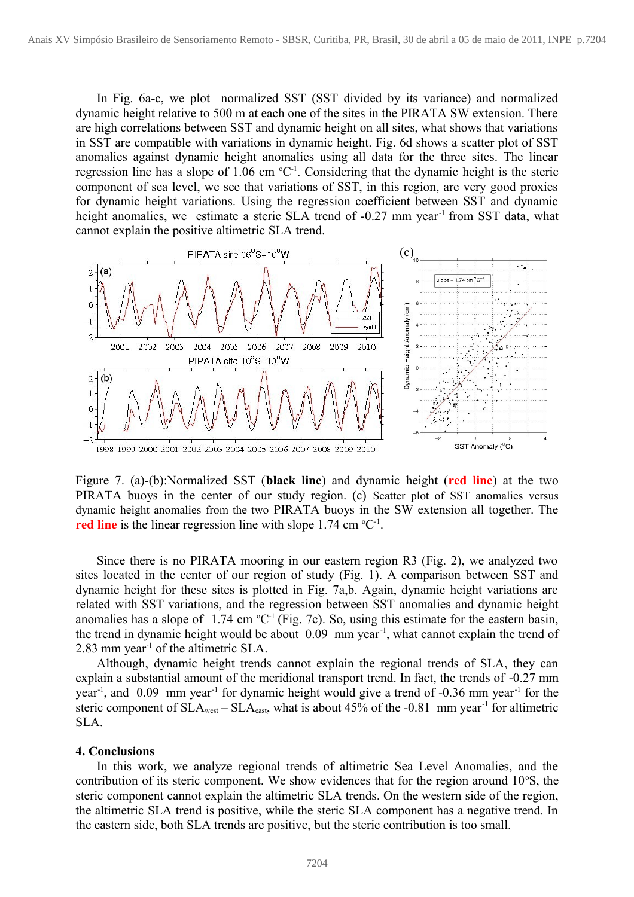In Fig. 6a-c, we plot normalized SST (SST divided by its variance) and normalized dynamic height relative to 500 m at each one of the sites in the PIRATA SW extension. There are high correlations between SST and dynamic height on all sites, what shows that variations in SST are compatible with variations in dynamic height. Fig. 6d shows a scatter plot of SST anomalies against dynamic height anomalies using all data for the three sites. The linear regression line has a slope of 1.06 cm  ${}^{\circ}C^{-1}$ . Considering that the dynamic height is the steric component of sea level, we see that variations of SST, in this region, are very good proxies for dynamic height variations. Using the regression coefficient between SST and dynamic height anomalies, we estimate a steric SLA trend of -0.27 mm year<sup>-1</sup> from SST data, what cannot explain the positive altimetric SLA trend.



Figure 7. (a)-(b):Normalized SST (**black line**) and dynamic height (**red line**) at the two PIRATA buoys in the center of our study region. (c) Scatter plot of SST anomalies versus dynamic height anomalies from the two PIRATA buoys in the SW extension all together. The **red line** is the linear regression line with slope  $1.74 \text{ cm }^{\circ}\text{C}^{-1}$ .

Since there is no PIRATA mooring in our eastern region R3 (Fig. 2), we analyzed two sites located in the center of our region of study (Fig. 1). A comparison between SST and dynamic height for these sites is plotted in Fig. 7a,b. Again, dynamic height variations are related with SST variations, and the regression between SST anomalies and dynamic height anomalies has a slope of  $1.74 \text{ cm }^{\circ}\text{C}^{-1}$  (Fig. 7c). So, using this estimate for the eastern basin, the trend in dynamic height would be about 0.09 mm year-1, what cannot explain the trend of 2.83 mm year-1 of the altimetric SLA.

Although, dynamic height trends cannot explain the regional trends of SLA, they can explain a substantial amount of the meridional transport trend. In fact, the trends of -0.27 mm year<sup>-1</sup>, and 0.09 mm year<sup>-1</sup> for dynamic height would give a trend of -0.36 mm year<sup>-1</sup> for the steric component of  $SLA_{west} - SLA_{cast}$ , what is about 45% of the -0.81 mm year<sup>-1</sup> for altimetric SLA.

#### **4. Conclusions**

In this work, we analyze regional trends of altimetric Sea Level Anomalies, and the contribution of its steric component. We show evidences that for the region around  $10^{\circ}$ S, the steric component cannot explain the altimetric SLA trends. On the western side of the region, the altimetric SLA trend is positive, while the steric SLA component has a negative trend. In the eastern side, both SLA trends are positive, but the steric contribution is too small.